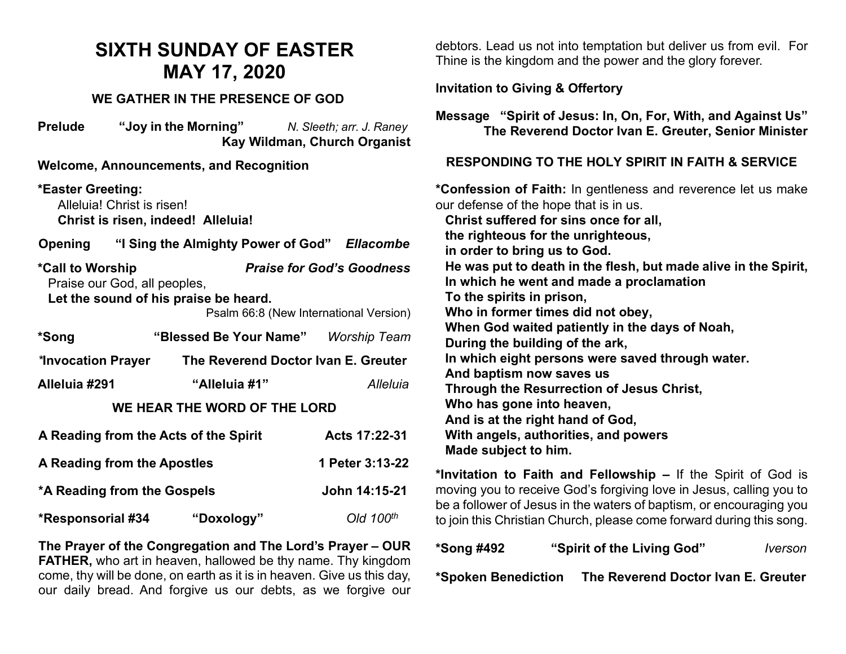## **SIXTH SUNDAY OF EASTER MAY 17, 2020**

#### **WE GATHER IN THE PRESENCE OF GOD**

**Prelude "Joy in the Morning"** *N. Sleeth; arr. J. Raney*  **Kay Wildman, Church Organist**

**Welcome, Announcements, and Recognition** 

**\*Easter Greeting:**  Alleluia! Christ is risen! **Christ is risen, indeed! Alleluia!**

**Opening "I Sing the Almighty Power of God"** *Ellacombe*

**\*Call to Worship** *Praise for God's Goodness* Praise our God, all peoples, **Let the sound of his praise be heard.**

Psalm 66:8 (New International Version)

| *Song              | "Blessed Be Your Name"              | <b>Worship Team</b> |
|--------------------|-------------------------------------|---------------------|
| *Invocation Prayer | The Reverend Doctor Ivan E. Greuter |                     |
| Alleluia #291      | "Alleluia #1"                       | Alleluia            |

#### **WE HEAR THE WORD OF THE LORD**

| A Reading from the Acts of the Spirit | Acts 17:22-31<br>1 Peter 3:13-22 |                |
|---------------------------------------|----------------------------------|----------------|
| A Reading from the Apostles           |                                  |                |
| *A Reading from the Gospels           |                                  | John 14:15-21  |
| <b>*Responsorial #34</b>              | "Doxology"                       | Old $100^{th}$ |

**The Prayer of the Congregation and The Lord's Prayer – OUR FATHER,** who art in heaven, hallowed be thy name. Thy kingdom come, thy will be done, on earth as it is in heaven. Give us this day, our daily bread. And forgive us our debts, as we forgive our

debtors. Lead us not into temptation but deliver us from evil. For Thine is the kingdom and the power and the glory forever.

#### **Invitation to Giving & Offertory**

**Message "Spirit of Jesus: In, On, For, With, and Against Us" The Reverend Doctor Ivan E. Greuter, Senior Minister**

#### **RESPONDING TO THE HOLY SPIRIT IN FAITH & SERVICE**

**\*Confession of Faith:** In gentleness and reverence let us make our defense of the hope that is in us. **Christ suffered for sins once for all, the righteous for the unrighteous, in order to bring us to God. He was put to death in the flesh, but made alive in the Spirit, In which he went and made a proclamation To the spirits in prison, Who in former times did not obey, When God waited patiently in the days of Noah, During the building of the ark, In which eight persons were saved through water. And baptism now saves us Through the Resurrection of Jesus Christ, Who has gone into heaven, And is at the right hand of God, With angels, authorities, and powers Made subject to him.** 

**\*Invitation to Faith and Fellowship –** If the Spirit of God is moving you to receive God's forgiving love in Jesus, calling you to be a follower of Jesus in the waters of baptism, or encouraging you to join this Christian Church, please come forward during this song.

| <b>*Song #492</b>   | "Spirit of the Living God"          | <i><u><b>Iverson</b></u></i> |
|---------------------|-------------------------------------|------------------------------|
| *Spoken Benediction | The Reverend Doctor Ivan E. Greuter |                              |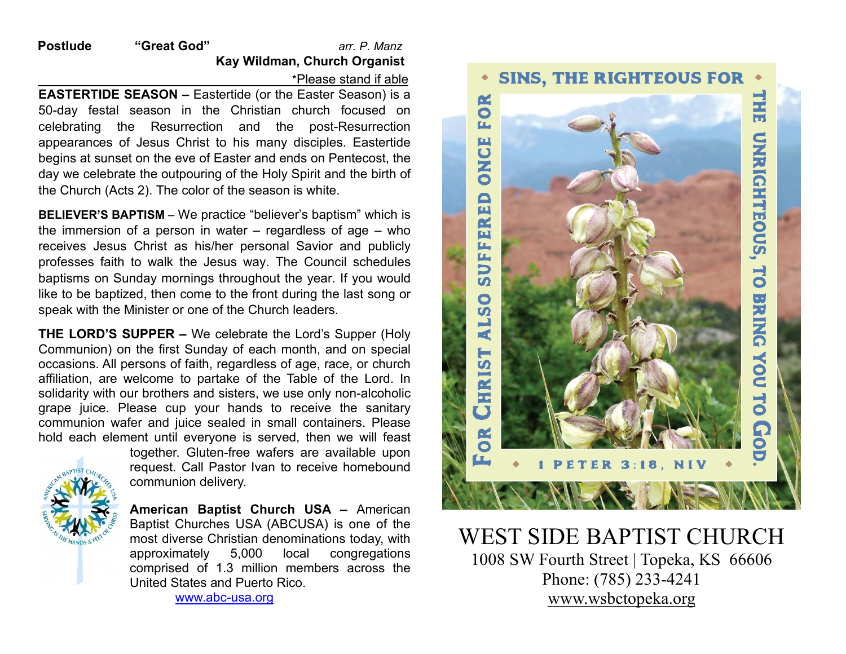**Postlude "Great God"** *arr. P. Manz*  **Kay Wildman, Church Organist** \*Please stand if able

**EASTERTIDE SEASON –** Eastertide (or the Easter Season) is a 50-day festal season in the Christian church focused on celebrating the Resurrection and the post-Resurrection appearances of Jesus Christ to his many disciples. Eastertide begins at sunset on the eve of Easter and ends on Pentecost, the day we celebrate the outpouring of the Holy Spirit and the birth of the Church (Acts 2). The color of the season is white.

**BELIEVER'S BAPTISM** – We practice "believer's baptism" which is the immersion of a person in water – regardless of age – who receives Jesus Christ as his/her personal Savior and publicly professes faith to walk the Jesus way. The Council schedules baptisms on Sunday mornings throughout the year. If you would like to be baptized, then come to the front during the last song or speak with the Minister or one of the Church leaders.

**THE LORD'S SUPPER –** We celebrate the Lord's Supper (Holy Communion) on the first Sunday of each month, and on special occasions. All persons of faith, regardless of age, race, or church affiliation, are welcome to partake of the Table of the Lord. In solidarity with our brothers and sisters, we use only non-alcoholic grape juice. Please cup your hands to receive the sanitary communion wafer and juice sealed in small containers. Please hold each element until everyone is served, then we will feast



together. Gluten-free wafers are available upon request. Call Pastor Ivan to receive homebound communion delivery.

**American Baptist Church USA –** American Baptist Churches USA (ABCUSA) is one of the most diverse Christian denominations today, with approximately 5,000 local congregations comprised of 1.3 million members across the United States and Puerto Rico.

[www.abc-usa.org](http://www.abc-usa.org/)



# WEST SIDE BAPTIST CHURCH<br>1008 SW Fourth Street | Topeka, KS 66606 Phone: (785) 233-4241 [www.wsbctopeka.org](http://www.wsbctopeka.org/)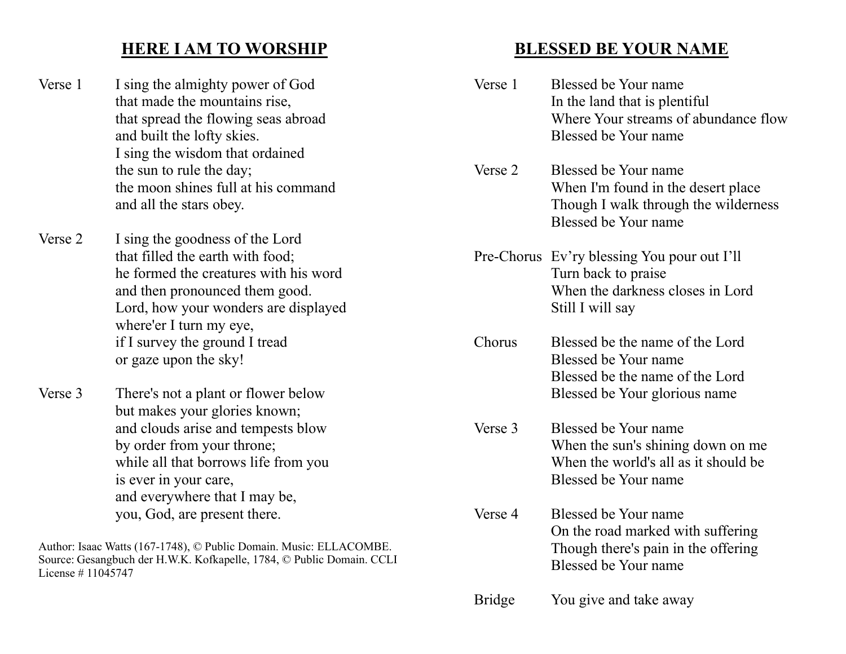### **HERE I AM TO WORSHIP**

- Verse 1 I sing the almighty power of God that made the mountains rise, that spread the flowing seas abroad and built the lofty skies. I sing the wisdom that ordained the sun to rule the day; the moon shines full at his command and all the stars obey.
- Verse 2 I sing the goodness of the Lord that filled the earth with food; he formed the creatures with his word and then pronounced them good. Lord, how your wonders are displayed where'er I turn my eye, if I survey the ground I tread or gaze upon the sky!
- Verse 3 There's not a plant or flower below but makes your glories known; and clouds arise and tempests blow by order from your throne; while all that borrows life from you is ever in your care, and everywhere that I may be, you, God, are present there.

Author: Isaac Watts (167-1748), © Public Domain. Music: ELLACOMBE. Source: Gesangbuch der H.W.K. Kofkapelle, 1784, © Public Domain. CCLI License # 11045747

### **BLESSED BE YOUR NAME**

| Verse 1       | Blessed be Your name<br>In the land that is plentiful<br>Where Your streams of abundance flow<br>Blessed be Your name       |
|---------------|-----------------------------------------------------------------------------------------------------------------------------|
| Verse 2       | Blessed be Your name<br>When I'm found in the desert place<br>Though I walk through the wilderness<br>Blessed be Your name  |
|               | Pre-Chorus Ev'ry blessing You pour out I'll<br>Turn back to praise<br>When the darkness closes in Lord<br>Still I will say  |
| Chorus        | Blessed be the name of the Lord<br>Blessed be Your name<br>Blessed be the name of the Lord<br>Blessed be Your glorious name |
| Verse 3       | Blessed be Your name<br>When the sun's shining down on me<br>When the world's all as it should be<br>Blessed be Your name   |
| Verse 4       | Blessed be Your name<br>On the road marked with suffering<br>Though there's pain in the offering<br>Blessed be Your name    |
| <b>Bridge</b> | You give and take away                                                                                                      |